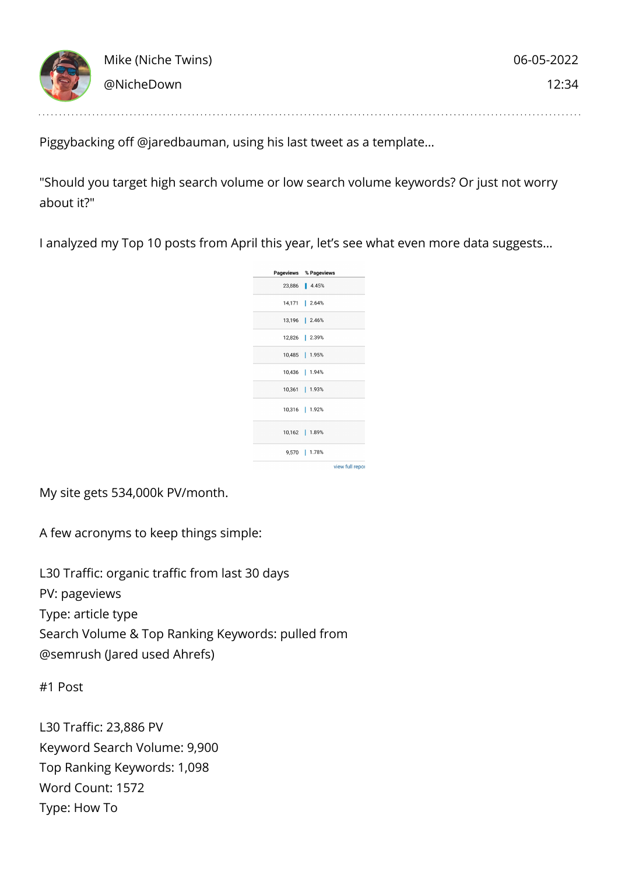

Piggybacking off @jaredbauman, using his last tweet as a template…

"Should you target high search volume or low search volume keywords? Or just not worry about it?"

I analyzed my Top 10 posts from April this year, let's see what even more data suggests…



My site gets 534,000k PV/month.

A few acronyms to keep things simple:

L30 Traffic: organic traffic from last 30 days PV: pageviews Type: article type Search Volume & Top Ranking Keywords: pulled from @semrush (Jared used Ahrefs)

#1 Post

L30 Traffic: 23,886 PV Keyword Search Volume: 9,900 Top Ranking Keywords: 1,098 Word Count: 1572 Type: How To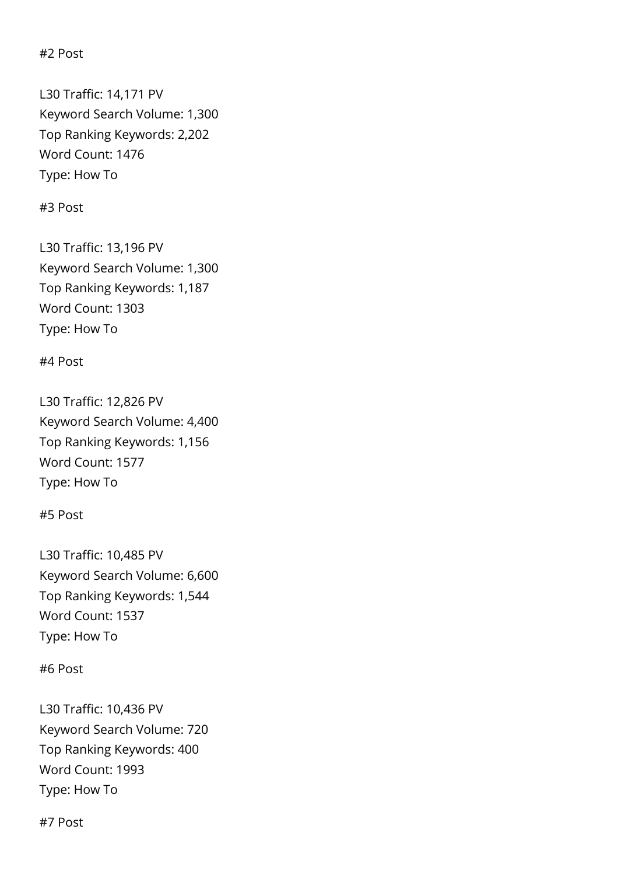#2 Post

L30 Traffic: 14,171 PV Keyword Search Volume: 1,300 Top Ranking Keywords: 2,202 Word Count: 1476 Type: How To

#3 Post

L30 Traffic: 13,196 PV Keyword Search Volume: 1,300 Top Ranking Keywords: 1,187 Word Count: 1303 Type: How To

#4 Post

L30 Traffic: 12,826 PV Keyword Search Volume: 4,400 Top Ranking Keywords: 1,156 Word Count: 1577 Type: How To

#5 Post

L30 Traffic: 10,485 PV Keyword Search Volume: 6,600 Top Ranking Keywords: 1,544 Word Count: 1537 Type: How To

#6 Post

L30 Traffic: 10,436 PV Keyword Search Volume: 720 Top Ranking Keywords: 400 Word Count: 1993 Type: How To

#7 Post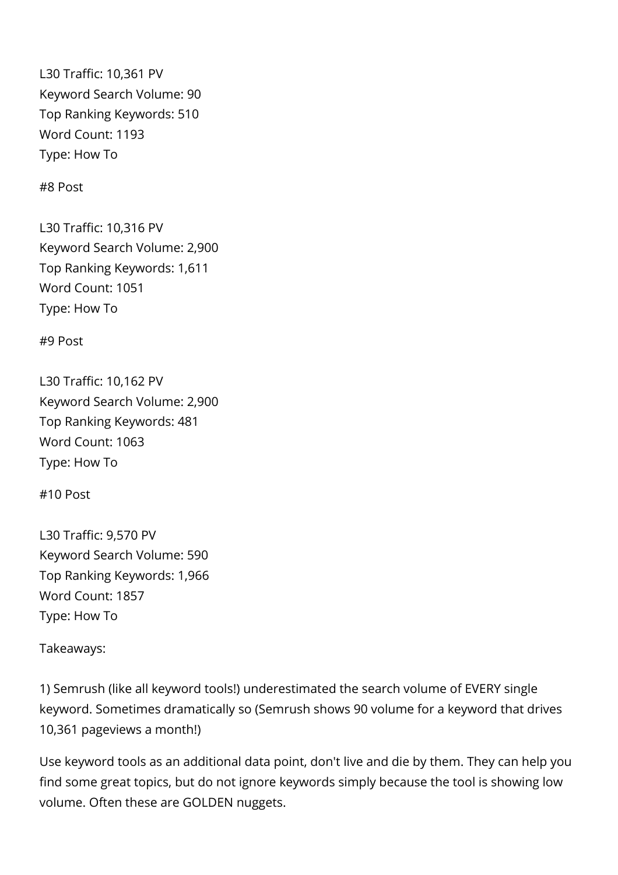L30 Traffic: 10,361 PV Keyword Search Volume: 90 Top Ranking Keywords: 510 Word Count: 1193 Type: How To

#8 Post

L30 Traffic: 10,316 PV Keyword Search Volume: 2,900 Top Ranking Keywords: 1,611 Word Count: 1051 Type: How To

#9 Post

L30 Traffic: 10,162 PV Keyword Search Volume: 2,900 Top Ranking Keywords: 481 Word Count: 1063 Type: How To

#10 Post

L30 Traffic: 9,570 PV Keyword Search Volume: 590 Top Ranking Keywords: 1,966 Word Count: 1857 Type: How To

Takeaways:

1) Semrush (like all keyword tools!) underestimated the search volume of EVERY single keyword. Sometimes dramatically so (Semrush shows 90 volume for a keyword that drives 10,361 pageviews a month!)

Use keyword tools as an additional data point, don't live and die by them. They can help you find some great topics, but do not ignore keywords simply because the tool is showing low volume. Often these are GOLDEN nuggets.